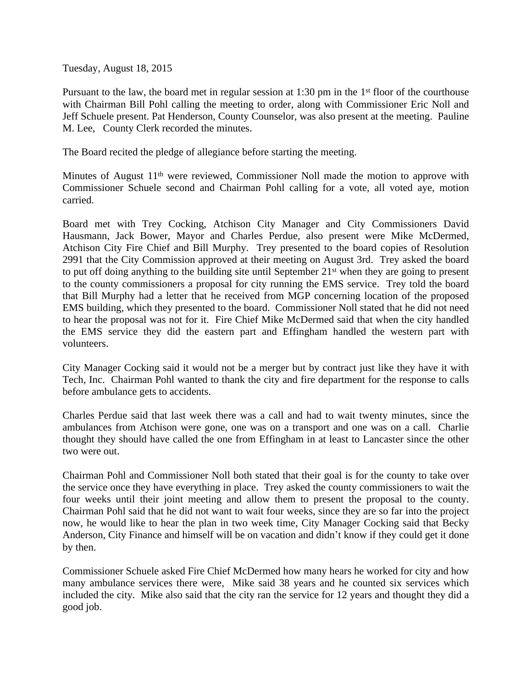Tuesday, August 18, 2015

Pursuant to the law, the board met in regular session at 1:30 pm in the 1<sup>st</sup> floor of the courthouse with Chairman Bill Pohl calling the meeting to order, along with Commissioner Eric Noll and Jeff Schuele present. Pat Henderson, County Counselor, was also present at the meeting. Pauline M. Lee, County Clerk recorded the minutes.

The Board recited the pledge of allegiance before starting the meeting.

Minutes of August  $11<sup>th</sup>$  were reviewed, Commissioner Noll made the motion to approve with Commissioner Schuele second and Chairman Pohl calling for a vote, all voted aye, motion carried.

Board met with Trey Cocking, Atchison City Manager and City Commissioners David Hausmann, Jack Bower, Mayor and Charles Perdue, also present were Mike McDermed, Atchison City Fire Chief and Bill Murphy. Trey presented to the board copies of Resolution 2991 that the City Commission approved at their meeting on August 3rd. Trey asked the board to put off doing anything to the building site until September 21st when they are going to present to the county commissioners a proposal for city running the EMS service. Trey told the board that Bill Murphy had a letter that he received from MGP concerning location of the proposed EMS building, which they presented to the board. Commissioner Noll stated that he did not need to hear the proposal was not for it. Fire Chief Mike McDermed said that when the city handled the EMS service they did the eastern part and Effingham handled the western part with volunteers.

City Manager Cocking said it would not be a merger but by contract just like they have it with Tech, Inc. Chairman Pohl wanted to thank the city and fire department for the response to calls before ambulance gets to accidents.

Charles Perdue said that last week there was a call and had to wait twenty minutes, since the ambulances from Atchison were gone, one was on a transport and one was on a call. Charlie thought they should have called the one from Effingham in at least to Lancaster since the other two were out.

Chairman Pohl and Commissioner Noll both stated that their goal is for the county to take over the service once they have everything in place. Trey asked the county commissioners to wait the four weeks until their joint meeting and allow them to present the proposal to the county. Chairman Pohl said that he did not want to wait four weeks, since they are so far into the project now, he would like to hear the plan in two week time, City Manager Cocking said that Becky Anderson, City Finance and himself will be on vacation and didn't know if they could get it done by then.

Commissioner Schuele asked Fire Chief McDermed how many hears he worked for city and how many ambulance services there were, Mike said 38 years and he counted six services which included the city. Mike also said that the city ran the service for 12 years and thought they did a good job.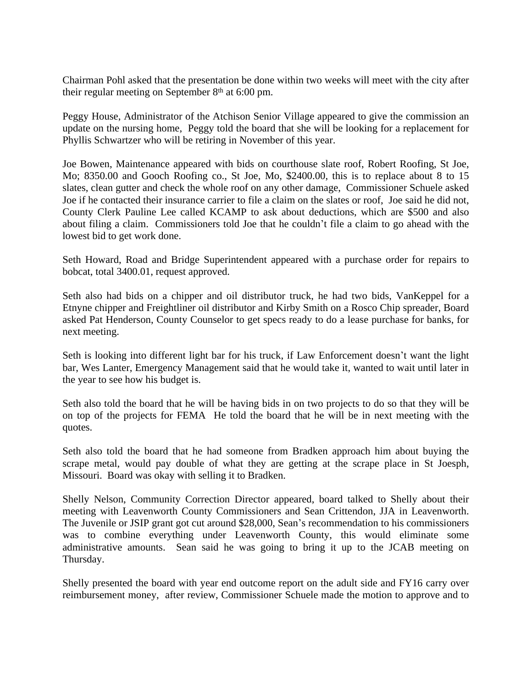Chairman Pohl asked that the presentation be done within two weeks will meet with the city after their regular meeting on September  $8<sup>th</sup>$  at 6:00 pm.

Peggy House, Administrator of the Atchison Senior Village appeared to give the commission an update on the nursing home, Peggy told the board that she will be looking for a replacement for Phyllis Schwartzer who will be retiring in November of this year.

Joe Bowen, Maintenance appeared with bids on courthouse slate roof, Robert Roofing, St Joe, Mo; 8350.00 and Gooch Roofing co., St Joe, Mo, \$2400.00, this is to replace about 8 to 15 slates, clean gutter and check the whole roof on any other damage, Commissioner Schuele asked Joe if he contacted their insurance carrier to file a claim on the slates or roof, Joe said he did not, County Clerk Pauline Lee called KCAMP to ask about deductions, which are \$500 and also about filing a claim. Commissioners told Joe that he couldn't file a claim to go ahead with the lowest bid to get work done.

Seth Howard, Road and Bridge Superintendent appeared with a purchase order for repairs to bobcat, total 3400.01, request approved.

Seth also had bids on a chipper and oil distributor truck, he had two bids, VanKeppel for a Etnyne chipper and Freightliner oil distributor and Kirby Smith on a Rosco Chip spreader, Board asked Pat Henderson, County Counselor to get specs ready to do a lease purchase for banks, for next meeting.

Seth is looking into different light bar for his truck, if Law Enforcement doesn't want the light bar, Wes Lanter, Emergency Management said that he would take it, wanted to wait until later in the year to see how his budget is.

Seth also told the board that he will be having bids in on two projects to do so that they will be on top of the projects for FEMA He told the board that he will be in next meeting with the quotes.

Seth also told the board that he had someone from Bradken approach him about buying the scrape metal, would pay double of what they are getting at the scrape place in St Joesph, Missouri. Board was okay with selling it to Bradken.

Shelly Nelson, Community Correction Director appeared, board talked to Shelly about their meeting with Leavenworth County Commissioners and Sean Crittendon, JJA in Leavenworth. The Juvenile or JSIP grant got cut around \$28,000, Sean's recommendation to his commissioners was to combine everything under Leavenworth County, this would eliminate some administrative amounts. Sean said he was going to bring it up to the JCAB meeting on Thursday.

Shelly presented the board with year end outcome report on the adult side and FY16 carry over reimbursement money, after review, Commissioner Schuele made the motion to approve and to